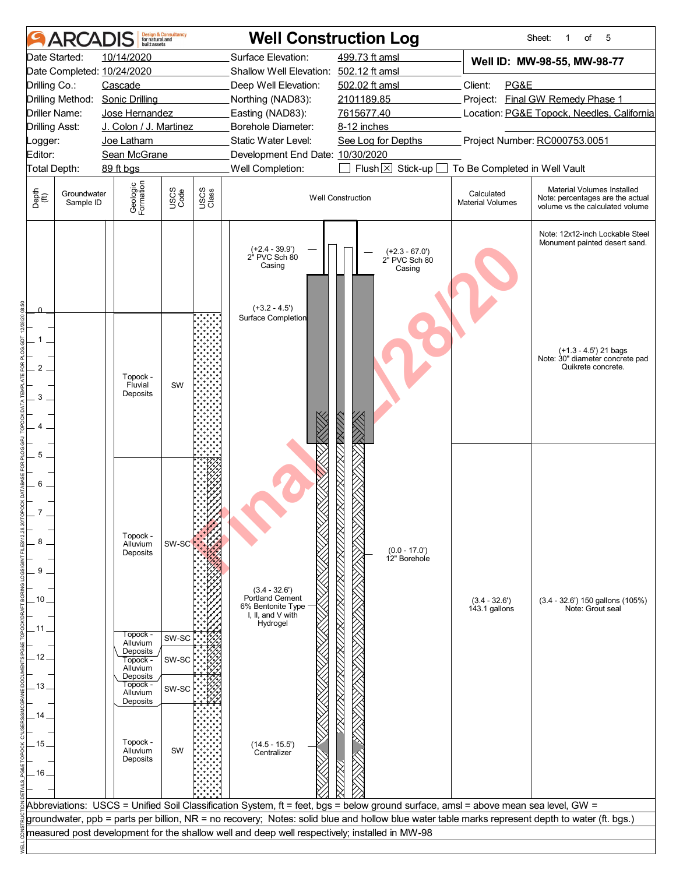|                                       |                          | built assets                                                                                 | <b>Design &amp; Consultancy</b><br>for natural and |               |                                                                                               | <b>Well Construction Log</b>                                                                                                                    |                                       | 5<br>Sheet:<br>of<br>1                                                                            |  |  |  |  |
|---------------------------------------|--------------------------|----------------------------------------------------------------------------------------------|----------------------------------------------------|---------------|-----------------------------------------------------------------------------------------------|-------------------------------------------------------------------------------------------------------------------------------------------------|---------------------------------------|---------------------------------------------------------------------------------------------------|--|--|--|--|
|                                       | Date Started:            | 10/14/2020                                                                                   |                                                    |               | Surface Elevation:                                                                            | 499.73 ft amsl                                                                                                                                  |                                       | Well ID: MW-98-55, MW-98-77                                                                       |  |  |  |  |
|                                       |                          | Date Completed: 10/24/2020                                                                   |                                                    |               | Shallow Well Elevation: 502.12 ft amsl                                                        |                                                                                                                                                 |                                       |                                                                                                   |  |  |  |  |
| Drilling Co.:                         |                          | Cascade                                                                                      |                                                    |               | Deep Well Elevation:                                                                          | 502.02 ft amsl                                                                                                                                  | Client:<br>PG&E                       |                                                                                                   |  |  |  |  |
|                                       |                          | Drilling Method: Sonic Drilling                                                              |                                                    |               | Northing (NAD83):                                                                             | 2101189.85                                                                                                                                      |                                       | Project: Final GW Remedy Phase 1                                                                  |  |  |  |  |
|                                       | Driller Name:            | Jose Hernandez                                                                               |                                                    |               | Easting (NAD83):                                                                              | 7615677.40                                                                                                                                      |                                       | Location: PG&E Topock, Needles, California                                                        |  |  |  |  |
|                                       | <b>Drilling Asst:</b>    | J. Colon / J. Martinez                                                                       |                                                    |               | Borehole Diameter:                                                                            | 8-12 inches                                                                                                                                     |                                       |                                                                                                   |  |  |  |  |
| Logger:                               |                          | Joe Latham                                                                                   |                                                    |               | Static Water Level:                                                                           | See Log for Depths                                                                                                                              |                                       | Project Number: RC000753.0051                                                                     |  |  |  |  |
| Editor:                               |                          | Sean McGrane                                                                                 |                                                    |               | Development End Date: 10/30/2020                                                              |                                                                                                                                                 |                                       |                                                                                                   |  |  |  |  |
|                                       | Total Depth:             | 89 ft bgs                                                                                    |                                                    |               | Well Completion:                                                                              | Flush $\boxtimes$ Stick-up [                                                                                                                    | To Be Completed in Well Vault         |                                                                                                   |  |  |  |  |
| Depth<br>(ff)                         | Groundwater<br>Sample ID | Geologic<br>Formation                                                                        | USCS<br>Code                                       | USCS<br>Class |                                                                                               | <b>Well Construction</b>                                                                                                                        | Calculated<br><b>Material Volumes</b> | Material Volumes Installed<br>Note: percentages are the actual<br>volume vs the calculated volume |  |  |  |  |
|                                       |                          |                                                                                              |                                                    |               | (+2.4 - 39.9')<br>2" PVC Sch 80<br>Casing                                                     | (+2.3 - 67.0')<br>2" PVC Sch 80<br>Casing                                                                                                       |                                       | Note: 12x12-inch Lockable Steel<br>Monument painted desert sand.                                  |  |  |  |  |
| 2<br>3                                |                          | Topock -<br>Fluvial<br>Deposits                                                              | SW                                                 |               | $(+3.2 - 4.5')$<br>Surface Completion                                                         |                                                                                                                                                 |                                       | (+1.3 - 4.5') 21 bags<br>Note: 30" diameter concrete pad<br>Quikrete concrete.                    |  |  |  |  |
| 5<br>6<br>8.<br>9<br>.10<br>11<br>12. |                          | Topock -<br>Alluvium<br>Deposits<br>Topock -<br>Alluvium<br>Deposits<br>Topock -             | SW-SC<br>SW-SC<br>SW-SC                            |               | $(3.4 - 32.6')$<br>Portland Cement<br>6% Bentonite Type<br>I, II, and V with<br>Hydrogel      | $(0.0 - 17.0)$<br>12" Borehole                                                                                                                  | $(3.4 - 32.6')$<br>143.1 gallons      | $(3.4 - 32.6')$ 150 gallons $(105%)$<br>Note: Grout seal                                          |  |  |  |  |
| . 13 .<br>14.<br>- 15<br>. 16 .       |                          | Alluvium<br>Deposits<br>Topock -<br>Alluvium<br>Deposits<br>Topock -<br>Alluvium<br>Deposits | SW-SC<br>SW                                        |               | $(14.5 - 15.5)$<br>Centralizer                                                                |                                                                                                                                                 |                                       |                                                                                                   |  |  |  |  |
|                                       |                          |                                                                                              |                                                    |               |                                                                                               | Abbreviations: USCS = Unified Soil Classification System, ft = feet, bgs = below ground surface, amsl = above mean sea level, GW =              |                                       |                                                                                                   |  |  |  |  |
|                                       |                          |                                                                                              |                                                    |               |                                                                                               | groundwater, ppb = parts per billion, NR = no recovery; Notes: solid blue and hollow blue water table marks represent depth to water (ft. bgs.) |                                       |                                                                                                   |  |  |  |  |
|                                       |                          |                                                                                              |                                                    |               | measured post development for the shallow well and deep well respectively; installed in MW-98 |                                                                                                                                                 |                                       |                                                                                                   |  |  |  |  |
|                                       |                          |                                                                                              |                                                    |               |                                                                                               |                                                                                                                                                 |                                       |                                                                                                   |  |  |  |  |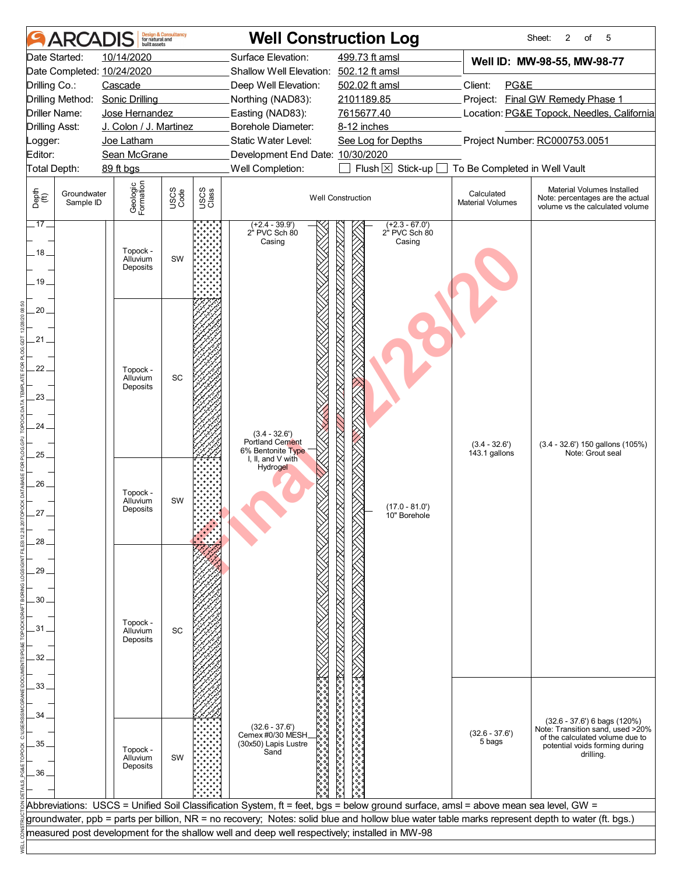|                       | <b>ARCADIS</b>           | huilt assets                     | <b>Design &amp; Consultancy</b><br>for natural and |               |                                                                                               | <b>Well Construction Log</b>                                                                                                                    |                                       | 2<br>5<br>Sheet:<br>of                                                                                |  |  |  |
|-----------------------|--------------------------|----------------------------------|----------------------------------------------------|---------------|-----------------------------------------------------------------------------------------------|-------------------------------------------------------------------------------------------------------------------------------------------------|---------------------------------------|-------------------------------------------------------------------------------------------------------|--|--|--|
| Date Started:         |                          | 10/14/2020                       |                                                    |               | Surface Elevation:                                                                            | 499.73 ft amsl                                                                                                                                  |                                       | Well ID: MW-98-55, MW-98-77                                                                           |  |  |  |
|                       |                          | Date Completed: 10/24/2020       |                                                    |               | Shallow Well Elevation: 502.12 ft amsl                                                        |                                                                                                                                                 | Client:<br>PG&E                       |                                                                                                       |  |  |  |
| Drilling Co.:         |                          | Cascade                          |                                                    |               | Deep Well Elevation:                                                                          | 502.02 ft amsl                                                                                                                                  |                                       |                                                                                                       |  |  |  |
|                       |                          | Drilling Method: Sonic Drilling  |                                                    |               | Northing (NAD83):                                                                             | 2101189.85                                                                                                                                      |                                       | Project: Final GW Remedy Phase 1                                                                      |  |  |  |
| Driller Name:         |                          | Jose Hernandez                   |                                                    |               | Easting (NAD83):                                                                              | 7615677.40                                                                                                                                      |                                       | Location: PG&E Topock, Needles, California                                                            |  |  |  |
| <b>Drilling Asst:</b> |                          | J. Colon / J. Martinez           |                                                    |               | <b>Borehole Diameter:</b>                                                                     | 8-12 inches                                                                                                                                     |                                       |                                                                                                       |  |  |  |
| Logger:               |                          | Joe Latham                       |                                                    |               | Static Water Level:                                                                           | See Log for Depths                                                                                                                              |                                       | Project Number: RC000753.0051                                                                         |  |  |  |
| Editor:               |                          | Sean McGrane                     |                                                    |               | Development End Date: 10/30/2020                                                              |                                                                                                                                                 |                                       |                                                                                                       |  |  |  |
| Total Depth:          |                          | 89 ft bgs                        |                                                    |               | Well Completion:                                                                              | Flush $\boxtimes$<br>Stick-up                                                                                                                   | To Be Completed in Well Vault         |                                                                                                       |  |  |  |
| Depth<br>(ff)         | Groundwater<br>Sample ID | Geologic<br>Formation            | USCS<br>Code                                       | USCS<br>Class |                                                                                               | <b>Well Construction</b>                                                                                                                        | Calculated<br><b>Material Volumes</b> | Material Volumes Installed<br>Note: percentages are the actual<br>volume vs the calculated volume     |  |  |  |
| $.17-$                |                          |                                  |                                                    |               | $(+2.4 - 39.9')$<br>2" PVC Sch 80<br>Casing                                                   | $(+2.3 - 67.0')$<br>2" PVC Sch 80<br>Casing                                                                                                     |                                       |                                                                                                       |  |  |  |
| .18.                  |                          | Topock -<br>Alluvium             | SW                                                 |               |                                                                                               |                                                                                                                                                 |                                       |                                                                                                       |  |  |  |
| .19.                  |                          | Deposits                         |                                                    |               |                                                                                               | <u>INUTNUNUNI NUNUNUNUNUNUNUNUNUNUNUNU</u>                                                                                                      |                                       |                                                                                                       |  |  |  |
| 20.                   |                          |                                  |                                                    |               |                                                                                               |                                                                                                                                                 |                                       |                                                                                                       |  |  |  |
| .21.                  |                          |                                  |                                                    |               |                                                                                               |                                                                                                                                                 |                                       |                                                                                                       |  |  |  |
| 22.                   |                          |                                  |                                                    |               |                                                                                               |                                                                                                                                                 |                                       |                                                                                                       |  |  |  |
|                       |                          | Topock -<br>Alluvium<br>Deposits | SC                                                 |               |                                                                                               |                                                                                                                                                 |                                       |                                                                                                       |  |  |  |
| 23.                   |                          |                                  |                                                    |               |                                                                                               |                                                                                                                                                 |                                       |                                                                                                       |  |  |  |
| 24.                   |                          |                                  |                                                    |               |                                                                                               |                                                                                                                                                 |                                       |                                                                                                       |  |  |  |
|                       |                          |                                  |                                                    |               | $(3.4 - 32.6')$<br><b>Portland Cement</b>                                                     |                                                                                                                                                 | $(3.4 - 32.6')$                       | $(3.4 - 32.6')$ 150 gallons $(105%)$                                                                  |  |  |  |
| .25.                  |                          |                                  |                                                    |               | 6% Bentonite Type<br>I, II, and $V$ with<br>Hydrogel                                          |                                                                                                                                                 | 143.1 gallons                         | Note: Grout seal                                                                                      |  |  |  |
| $26 -$                |                          |                                  |                                                    |               |                                                                                               |                                                                                                                                                 |                                       |                                                                                                       |  |  |  |
|                       |                          | Topock -<br>Alluvium             | SW                                                 |               |                                                                                               | $(17.0 - 81.0)$                                                                                                                                 |                                       |                                                                                                       |  |  |  |
| 27.                   |                          | Deposits                         |                                                    |               |                                                                                               | 10" Borehole                                                                                                                                    |                                       |                                                                                                       |  |  |  |
| 28                    |                          |                                  |                                                    |               |                                                                                               |                                                                                                                                                 |                                       |                                                                                                       |  |  |  |
|                       |                          |                                  |                                                    |               |                                                                                               |                                                                                                                                                 |                                       |                                                                                                       |  |  |  |
| 29                    |                          |                                  |                                                    |               |                                                                                               |                                                                                                                                                 |                                       |                                                                                                       |  |  |  |
|                       |                          |                                  |                                                    |               |                                                                                               |                                                                                                                                                 |                                       |                                                                                                       |  |  |  |
| 30 <sub>1</sub>       |                          |                                  |                                                    |               |                                                                                               |                                                                                                                                                 |                                       |                                                                                                       |  |  |  |
| 31                    |                          | Topock -<br>Alluvium             | SC                                                 |               |                                                                                               |                                                                                                                                                 |                                       |                                                                                                       |  |  |  |
|                       |                          | Deposits                         |                                                    |               |                                                                                               |                                                                                                                                                 |                                       |                                                                                                       |  |  |  |
| 32                    |                          |                                  |                                                    |               |                                                                                               |                                                                                                                                                 |                                       |                                                                                                       |  |  |  |
| 33                    |                          |                                  |                                                    |               |                                                                                               |                                                                                                                                                 |                                       |                                                                                                       |  |  |  |
|                       |                          |                                  |                                                    |               |                                                                                               |                                                                                                                                                 |                                       |                                                                                                       |  |  |  |
| 34                    |                          |                                  |                                                    |               | $(32.6 - 37.6')$                                                                              |                                                                                                                                                 |                                       | $(32.6 - 37.6)$ 6 bags $(120%)$                                                                       |  |  |  |
| 35                    |                          |                                  |                                                    |               | Cemex #0/30 MESH<br>(30x50) Lapis Lustre                                                      | ///Xioooooooooooooooooooooooooooooo                                                                                                             | $(32.6 - 37.6')$<br>5 bags            | Note: Transition sand, used >20%<br>of the calculated volume due to<br>potential voids forming during |  |  |  |
|                       |                          | Topock -<br>Alluvium             | SW                                                 |               | Sand                                                                                          |                                                                                                                                                 |                                       | drilling.                                                                                             |  |  |  |
| 36                    |                          | Deposits                         |                                                    |               |                                                                                               |                                                                                                                                                 |                                       |                                                                                                       |  |  |  |
|                       |                          |                                  |                                                    |               |                                                                                               |                                                                                                                                                 |                                       |                                                                                                       |  |  |  |
|                       |                          |                                  |                                                    |               |                                                                                               | Abbreviations: USCS = Unified Soil Classification System, ft = feet, bgs = below ground surface, amsl = above mean sea level, GW =              |                                       |                                                                                                       |  |  |  |
|                       |                          |                                  |                                                    |               |                                                                                               | groundwater, ppb = parts per billion, NR = no recovery; Notes: solid blue and hollow blue water table marks represent depth to water (ft. bgs.) |                                       |                                                                                                       |  |  |  |
|                       |                          |                                  |                                                    |               | measured post development for the shallow well and deep well respectively; installed in MW-98 |                                                                                                                                                 |                                       |                                                                                                       |  |  |  |
|                       |                          |                                  |                                                    |               |                                                                                               |                                                                                                                                                 |                                       |                                                                                                       |  |  |  |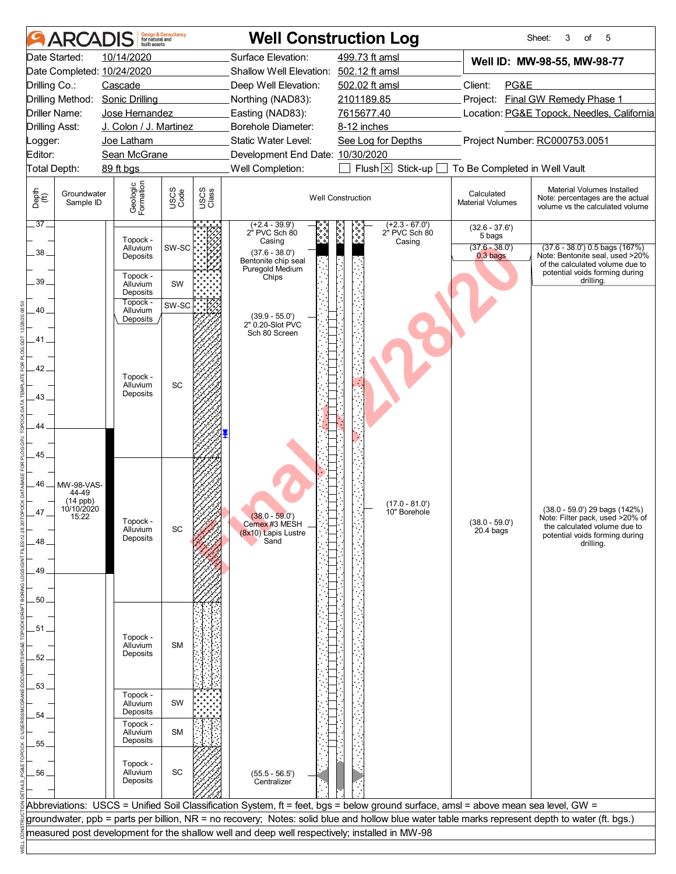|                       | ARCAI                    | built assets                    | <b>Design &amp; Consultancy</b><br>for natural and |               | <b>Well Construction Log</b>                                                                                                                    |                          |                                   |                                       | 3<br>of<br>5<br>Sheet:                                                                               |  |  |
|-----------------------|--------------------------|---------------------------------|----------------------------------------------------|---------------|-------------------------------------------------------------------------------------------------------------------------------------------------|--------------------------|-----------------------------------|---------------------------------------|------------------------------------------------------------------------------------------------------|--|--|
|                       | Date Started:            | 10/14/2020                      |                                                    |               | Surface Elevation:                                                                                                                              | 499.73 ft amsl           |                                   |                                       | Well ID: MW-98-55, MW-98-77                                                                          |  |  |
|                       |                          | Date Completed: 10/24/2020      |                                                    |               | Shallow Well Elevation: 502.12 ft amsl                                                                                                          |                          |                                   |                                       |                                                                                                      |  |  |
| Drilling Co.:         |                          | Cascade                         |                                                    |               | Deep Well Elevation:                                                                                                                            | 502.02 ft amsl           |                                   | Client:<br>PG&E                       |                                                                                                      |  |  |
|                       |                          | Drilling Method: Sonic Drilling |                                                    |               | Northing (NAD83):                                                                                                                               | 2101189.85               |                                   | Project: Final GW Remedy Phase 1      |                                                                                                      |  |  |
| Driller Name:         |                          | Jose Hernandez                  |                                                    |               | Easting (NAD83):                                                                                                                                | 7615677.40               |                                   |                                       | Location: PG&E Topock, Needles, California                                                           |  |  |
| <b>Drilling Asst:</b> |                          | J. Colon / J. Martinez          |                                                    |               | Borehole Diameter:                                                                                                                              | 8-12 inches              |                                   |                                       |                                                                                                      |  |  |
| _ogger:               |                          | Joe Latham                      |                                                    |               | <b>Static Water Level:</b>                                                                                                                      | See Log for Depths       |                                   |                                       | Project Number: RC000753.0051                                                                        |  |  |
| Editor:               |                          | Sean McGrane                    |                                                    |               | Development End Date: 10/30/2020                                                                                                                |                          |                                   |                                       |                                                                                                      |  |  |
|                       | <b>Total Depth:</b>      | 89 ft bgs                       |                                                    |               | Well Completion:                                                                                                                                |                          | Flush $\boxtimes$ Stick-up $\Box$ | To Be Completed in Well Vault         |                                                                                                      |  |  |
| Depth<br>(ff)         | Groundwater<br>Sample ID | Geologic<br>Formation           | USCS<br>Code                                       | USCS<br>Class |                                                                                                                                                 | <b>Well Construction</b> |                                   | Calculated<br><b>Material Volumes</b> | Material Volumes Installed<br>Note: percentages are the actual<br>volume vs the calculated volume    |  |  |
| .37.                  |                          |                                 |                                                    |               | $(+2.4 - 39.9')$<br>2 <sup>"</sup> PVC Sch 80                                                                                                   | १०००                     | $(+2.3 - 67.0')$<br>2" PVC Sch 80 | $(32.6 - 37.6')$<br>5 bags            |                                                                                                      |  |  |
| 38.                   |                          | Topock -<br>Alluvium            | SW-SC                                              |               | Casing<br>$(37.6 - 38.0')$                                                                                                                      |                          | Casing                            | $(37.6 - 38.0')$                      | $(37.6 - 38.0')$ 0.5 bags $(167%)$                                                                   |  |  |
|                       |                          | Deposits                        |                                                    |               | Bentonite chip seal<br>Puregold Medium                                                                                                          |                          |                                   | $0.3b$ ags                            | Note: Bentonite seal, used >20%<br>of the calculated volume due to<br>potential voids forming during |  |  |
| 39                    |                          | Topock -<br>Alluvium            | SW                                                 |               | Chips                                                                                                                                           |                          |                                   |                                       | drilling.                                                                                            |  |  |
|                       |                          | Deposits<br>Topock -            | SW-SC                                              |               |                                                                                                                                                 |                          |                                   |                                       |                                                                                                      |  |  |
| 40.                   |                          | Alluvium<br>Deposits            |                                                    |               | $(39.9 - 55.0')$                                                                                                                                |                          |                                   |                                       |                                                                                                      |  |  |
|                       |                          |                                 |                                                    |               | 2" 0.20-Slot PVC<br>Sch 80 Screen                                                                                                               |                          |                                   |                                       |                                                                                                      |  |  |
| 41                    |                          |                                 |                                                    |               |                                                                                                                                                 |                          |                                   |                                       |                                                                                                      |  |  |
|                       |                          |                                 |                                                    |               |                                                                                                                                                 |                          |                                   |                                       |                                                                                                      |  |  |
| 42                    |                          | Topock -                        |                                                    |               |                                                                                                                                                 |                          |                                   |                                       |                                                                                                      |  |  |
|                       |                          | Alluvium                        | SC                                                 |               |                                                                                                                                                 |                          |                                   |                                       |                                                                                                      |  |  |
| 43.                   |                          | Deposits                        |                                                    |               |                                                                                                                                                 |                          |                                   |                                       |                                                                                                      |  |  |
|                       |                          |                                 |                                                    |               |                                                                                                                                                 |                          |                                   |                                       |                                                                                                      |  |  |
| 44                    |                          |                                 |                                                    |               |                                                                                                                                                 |                          |                                   |                                       |                                                                                                      |  |  |
|                       |                          |                                 |                                                    |               |                                                                                                                                                 |                          |                                   |                                       |                                                                                                      |  |  |
| 45                    |                          |                                 |                                                    |               |                                                                                                                                                 |                          |                                   |                                       |                                                                                                      |  |  |
|                       |                          |                                 |                                                    |               |                                                                                                                                                 |                          |                                   |                                       |                                                                                                      |  |  |
| .46                   | MW-98-VAS-               |                                 |                                                    |               |                                                                                                                                                 |                          |                                   |                                       |                                                                                                      |  |  |
|                       | 44-49<br>$(14$ ppb)      |                                 |                                                    |               |                                                                                                                                                 |                          | $(17.0 - 81.0)$                   |                                       |                                                                                                      |  |  |
| 47                    | 10/10/2020<br>15:22      |                                 |                                                    |               |                                                                                                                                                 |                          | 10" Borehole                      |                                       | $(38.0 - 59.0')$ 29 bags $(142%)$                                                                    |  |  |
|                       |                          | Topock -<br>Alluvium            | SC                                                 |               | $(38.0 - 59.0')$<br>Cemex #3 MESH<br>(8x10) Lapis Lustre                                                                                        |                          |                                   | $(38.0 - 59.0')$<br>$20.4$ bags       | Note: Filter pack, used >20% of<br>the calculated volume due to                                      |  |  |
| 48                    |                          | Deposits                        |                                                    |               | Sand                                                                                                                                            |                          |                                   |                                       | potential voids forming during<br>drilling.                                                          |  |  |
|                       |                          |                                 |                                                    |               |                                                                                                                                                 |                          |                                   |                                       |                                                                                                      |  |  |
| .49                   |                          |                                 |                                                    |               |                                                                                                                                                 |                          |                                   |                                       |                                                                                                      |  |  |
|                       |                          |                                 |                                                    |               |                                                                                                                                                 |                          |                                   |                                       |                                                                                                      |  |  |
| 50.                   |                          |                                 |                                                    |               |                                                                                                                                                 |                          |                                   |                                       |                                                                                                      |  |  |
|                       |                          |                                 |                                                    |               |                                                                                                                                                 |                          |                                   |                                       |                                                                                                      |  |  |
| .51.                  |                          |                                 |                                                    |               |                                                                                                                                                 |                          |                                   |                                       |                                                                                                      |  |  |
|                       |                          | Topock -<br>Alluvium            | <b>SM</b>                                          |               |                                                                                                                                                 |                          |                                   |                                       |                                                                                                      |  |  |
| 52.                   |                          | Deposits                        |                                                    |               |                                                                                                                                                 |                          |                                   |                                       |                                                                                                      |  |  |
|                       |                          |                                 |                                                    |               |                                                                                                                                                 |                          |                                   |                                       |                                                                                                      |  |  |
| 53.                   |                          |                                 |                                                    |               |                                                                                                                                                 |                          |                                   |                                       |                                                                                                      |  |  |
|                       |                          | Topock -<br>Alluvium            | SW                                                 |               |                                                                                                                                                 |                          |                                   |                                       |                                                                                                      |  |  |
| 54.                   |                          | Deposits                        |                                                    |               |                                                                                                                                                 |                          |                                   |                                       |                                                                                                      |  |  |
|                       |                          | Topock -<br>Alluvium            | <b>SM</b>                                          |               |                                                                                                                                                 |                          |                                   |                                       |                                                                                                      |  |  |
| 55.                   |                          | Deposits                        |                                                    |               |                                                                                                                                                 |                          |                                   |                                       |                                                                                                      |  |  |
|                       |                          |                                 |                                                    |               |                                                                                                                                                 |                          |                                   |                                       |                                                                                                      |  |  |
| .56                   |                          | Topock -<br>Alluvium            | SC                                                 |               | $(55.5 - 56.5)$                                                                                                                                 |                          |                                   |                                       |                                                                                                      |  |  |
|                       |                          | Deposits                        |                                                    |               | Centralizer                                                                                                                                     |                          |                                   |                                       |                                                                                                      |  |  |
|                       |                          |                                 |                                                    |               |                                                                                                                                                 |                          |                                   |                                       |                                                                                                      |  |  |
|                       |                          |                                 |                                                    |               | Abbreviations: USCS = Unified Soil Classification System, ft = feet, bgs = below ground surface, amsl = above mean sea level, GW =              |                          |                                   |                                       |                                                                                                      |  |  |
|                       |                          |                                 |                                                    |               | groundwater, ppb = parts per billion, NR = no recovery; Notes: solid blue and hollow blue water table marks represent depth to water (ft. bgs.) |                          |                                   |                                       |                                                                                                      |  |  |
|                       |                          |                                 |                                                    |               | measured post development for the shallow well and deep well respectively; installed in MW-98                                                   |                          |                                   |                                       |                                                                                                      |  |  |
|                       |                          |                                 |                                                    |               |                                                                                                                                                 |                          |                                   |                                       |                                                                                                      |  |  |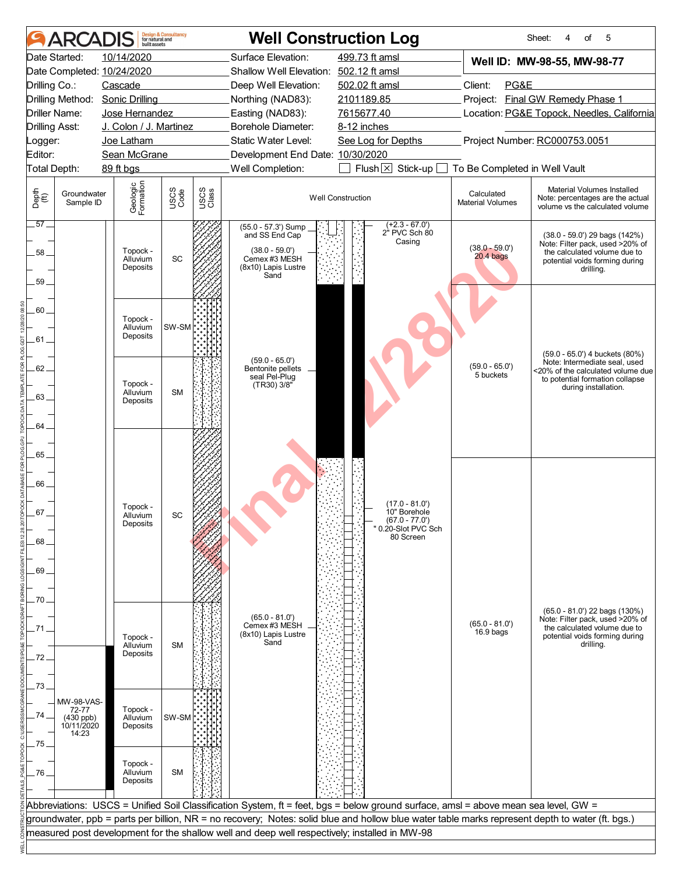|                       | <b>ARCADIS</b>                   |                                  | <b>Design &amp; Consultancy</b><br>for natural and<br>built assets |               |                                                                                                                                                 | <b>Well Construction Log</b>                |                                       | of<br>5<br>Sheet:<br>4                                                                                                                              |  |  |  |  |
|-----------------------|----------------------------------|----------------------------------|--------------------------------------------------------------------|---------------|-------------------------------------------------------------------------------------------------------------------------------------------------|---------------------------------------------|---------------------------------------|-----------------------------------------------------------------------------------------------------------------------------------------------------|--|--|--|--|
|                       | Date Started:                    | 10/14/2020                       |                                                                    |               | Surface Elevation:                                                                                                                              | 499.73 ft amsl                              |                                       | Well ID: MW-98-55, MW-98-77                                                                                                                         |  |  |  |  |
|                       |                                  | Date Completed: 10/24/2020       | Shallow Well Elevation: 502.12 ft amsl                             |               |                                                                                                                                                 |                                             |                                       |                                                                                                                                                     |  |  |  |  |
| Drilling Co.:         |                                  | Cascade                          |                                                                    |               | Deep Well Elevation:                                                                                                                            | 502.02 ft amsl                              |                                       | Client:<br>PG&E<br>Project: Final GW Remedy Phase 1                                                                                                 |  |  |  |  |
|                       |                                  | Drilling Method: Sonic Drilling  |                                                                    |               | Northing (NAD83):                                                                                                                               | 2101189.85                                  |                                       |                                                                                                                                                     |  |  |  |  |
|                       | Driller Name:                    | Jose Hernandez                   |                                                                    |               | Easting (NAD83):                                                                                                                                | 7615677.40                                  |                                       | Location: PG&E Topock, Needles, California                                                                                                          |  |  |  |  |
|                       | <b>Drilling Asst:</b>            | J. Colon / J. Martinez           |                                                                    |               | Borehole Diameter:                                                                                                                              | 8-12 inches                                 |                                       |                                                                                                                                                     |  |  |  |  |
| Logger:               |                                  | Joe Latham                       |                                                                    |               | Static Water Level:                                                                                                                             | See Log for Depths                          |                                       | Project Number: RC000753.0051                                                                                                                       |  |  |  |  |
| Editor:               |                                  | Sean McGrane                     |                                                                    |               | Development End Date: 10/30/2020                                                                                                                |                                             |                                       |                                                                                                                                                     |  |  |  |  |
|                       | Total Depth:<br>89 ft bgs        |                                  |                                                                    |               | Well Completion:                                                                                                                                | Flush $\boxtimes$ Stick-up [                | To Be Completed in Well Vault         |                                                                                                                                                     |  |  |  |  |
| Depth<br>(ff)         | Groundwater<br>Sample ID         | Geologic<br>Formation            | USCS<br>Code                                                       | USCS<br>Class |                                                                                                                                                 | <b>Well Construction</b>                    | Calculated<br><b>Material Volumes</b> | Material Volumes Installed<br>Note: percentages are the actual<br>volume vs the calculated volume                                                   |  |  |  |  |
| $.57 -$<br>58.<br>59. |                                  | Topock -<br>Alluvium<br>Deposits | SC                                                                 |               | (55.0 - 57.3') Sump<br>and SS End Cap<br>$(38.0 - 59.0')$<br>Cemex #3 MESH<br>(8x10) Lapis Lustre<br>Sand                                       | $(+2.3 - 67.0')$<br>2" PVC Sch 80<br>Casing | $(38.0 - 59.0')$<br>$20.4$ bags       | $(38.0 - 59.0')$ 29 bags $(142%)$<br>Note: Filter pack, used >20% of<br>the calculated volume due to<br>potential voids forming during<br>drilling. |  |  |  |  |
| 60.                   |                                  | Topock -<br>Alluvium             | SW-SM                                                              |               |                                                                                                                                                 |                                             |                                       |                                                                                                                                                     |  |  |  |  |
| .61.                  |                                  | Deposits                         |                                                                    |               | $(59.0 - 65.0')$                                                                                                                                |                                             |                                       | (59.0 - 65.0') 4 buckets (80%)                                                                                                                      |  |  |  |  |
| 62                    |                                  |                                  |                                                                    |               | Bentonite pellets<br>seal Pel-Plug                                                                                                              |                                             | $(59.0 - 65.0')$<br>5 buckets         | Note: Intermediate seal, used<br><20% of the calculated volume due                                                                                  |  |  |  |  |
|                       |                                  | Topock -                         |                                                                    |               | $(TR30)$ $3/8"$                                                                                                                                 |                                             |                                       | to potential formation collapse<br>during installation.                                                                                             |  |  |  |  |
| 63.                   |                                  | Alluvium<br>Deposits             | <b>SM</b>                                                          |               |                                                                                                                                                 |                                             |                                       |                                                                                                                                                     |  |  |  |  |
|                       |                                  |                                  |                                                                    |               |                                                                                                                                                 |                                             |                                       |                                                                                                                                                     |  |  |  |  |
| 64.                   |                                  |                                  |                                                                    |               |                                                                                                                                                 |                                             |                                       |                                                                                                                                                     |  |  |  |  |
|                       |                                  |                                  |                                                                    |               |                                                                                                                                                 |                                             |                                       |                                                                                                                                                     |  |  |  |  |
| .65                   |                                  |                                  |                                                                    |               |                                                                                                                                                 |                                             |                                       |                                                                                                                                                     |  |  |  |  |
|                       |                                  |                                  |                                                                    |               |                                                                                                                                                 |                                             |                                       |                                                                                                                                                     |  |  |  |  |
| 66_                   |                                  |                                  |                                                                    |               |                                                                                                                                                 |                                             |                                       |                                                                                                                                                     |  |  |  |  |
|                       |                                  |                                  |                                                                    |               |                                                                                                                                                 | $(17.0 - 81.0)$                             |                                       |                                                                                                                                                     |  |  |  |  |
| 67                    |                                  | Topock -<br>Alluvium             | SC.                                                                |               |                                                                                                                                                 | 10" Borehole                                |                                       |                                                                                                                                                     |  |  |  |  |
|                       |                                  | Deposits                         |                                                                    |               |                                                                                                                                                 | $(67.0 - 77.0)$<br>" 0.20-Slot PVC Sch      |                                       |                                                                                                                                                     |  |  |  |  |
| .68                   |                                  |                                  |                                                                    |               |                                                                                                                                                 | 80 Screen                                   |                                       |                                                                                                                                                     |  |  |  |  |
|                       |                                  |                                  |                                                                    |               |                                                                                                                                                 |                                             |                                       |                                                                                                                                                     |  |  |  |  |
| 69                    |                                  |                                  |                                                                    |               |                                                                                                                                                 |                                             |                                       |                                                                                                                                                     |  |  |  |  |
|                       |                                  |                                  |                                                                    |               |                                                                                                                                                 |                                             |                                       |                                                                                                                                                     |  |  |  |  |
| .70                   |                                  |                                  |                                                                    |               |                                                                                                                                                 |                                             |                                       |                                                                                                                                                     |  |  |  |  |
|                       |                                  |                                  |                                                                    |               | $(65.0 - 81.0')$                                                                                                                                |                                             |                                       | $(65.0 - 81.0')$ 22 bags $(130%)$<br>Note: Filter pack, used >20% of                                                                                |  |  |  |  |
| .71                   |                                  |                                  |                                                                    |               | Cemex #3 MESH<br>(8x10) Lapis Lustre                                                                                                            |                                             | $(65.0 - 81.0)$<br>16.9 bags          | the calculated volume due to                                                                                                                        |  |  |  |  |
|                       |                                  | Topock -<br>Alluvium             | <b>SM</b>                                                          |               | Sand                                                                                                                                            |                                             |                                       | potential voids forming during<br>drilling.                                                                                                         |  |  |  |  |
| .72.                  |                                  | Deposits                         |                                                                    |               |                                                                                                                                                 |                                             |                                       |                                                                                                                                                     |  |  |  |  |
|                       |                                  |                                  |                                                                    |               |                                                                                                                                                 |                                             |                                       |                                                                                                                                                     |  |  |  |  |
| 73                    |                                  |                                  |                                                                    |               |                                                                                                                                                 |                                             |                                       |                                                                                                                                                     |  |  |  |  |
|                       | MW-98-VAS-                       |                                  |                                                                    |               |                                                                                                                                                 |                                             |                                       |                                                                                                                                                     |  |  |  |  |
| 74.                   | 72-77                            | Topock -<br>Alluvium             | SW-SM                                                              |               |                                                                                                                                                 |                                             |                                       |                                                                                                                                                     |  |  |  |  |
|                       | (430 ppb)<br>10/11/2020<br>14:23 | Deposits                         |                                                                    |               |                                                                                                                                                 |                                             |                                       |                                                                                                                                                     |  |  |  |  |
| .75.                  |                                  |                                  |                                                                    |               |                                                                                                                                                 |                                             |                                       |                                                                                                                                                     |  |  |  |  |
|                       |                                  |                                  |                                                                    |               |                                                                                                                                                 |                                             |                                       |                                                                                                                                                     |  |  |  |  |
| .76                   |                                  | Topock -<br>Alluvium             | <b>SM</b>                                                          |               |                                                                                                                                                 |                                             |                                       |                                                                                                                                                     |  |  |  |  |
|                       |                                  | Deposits                         |                                                                    |               |                                                                                                                                                 |                                             |                                       |                                                                                                                                                     |  |  |  |  |
|                       |                                  |                                  |                                                                    |               |                                                                                                                                                 |                                             |                                       |                                                                                                                                                     |  |  |  |  |
|                       |                                  |                                  |                                                                    |               | Abbreviations: USCS = Unified Soil Classification System, ft = feet, bgs = below ground surface, amsl = above mean sea level, GW =              |                                             |                                       |                                                                                                                                                     |  |  |  |  |
|                       |                                  |                                  |                                                                    |               | groundwater, ppb = parts per billion, NR = no recovery; Notes: solid blue and hollow blue water table marks represent depth to water (ft. bgs.) |                                             |                                       |                                                                                                                                                     |  |  |  |  |
|                       |                                  |                                  |                                                                    |               | measured post development for the shallow well and deep well respectively; installed in MW-98                                                   |                                             |                                       |                                                                                                                                                     |  |  |  |  |
|                       |                                  |                                  |                                                                    |               |                                                                                                                                                 |                                             |                                       |                                                                                                                                                     |  |  |  |  |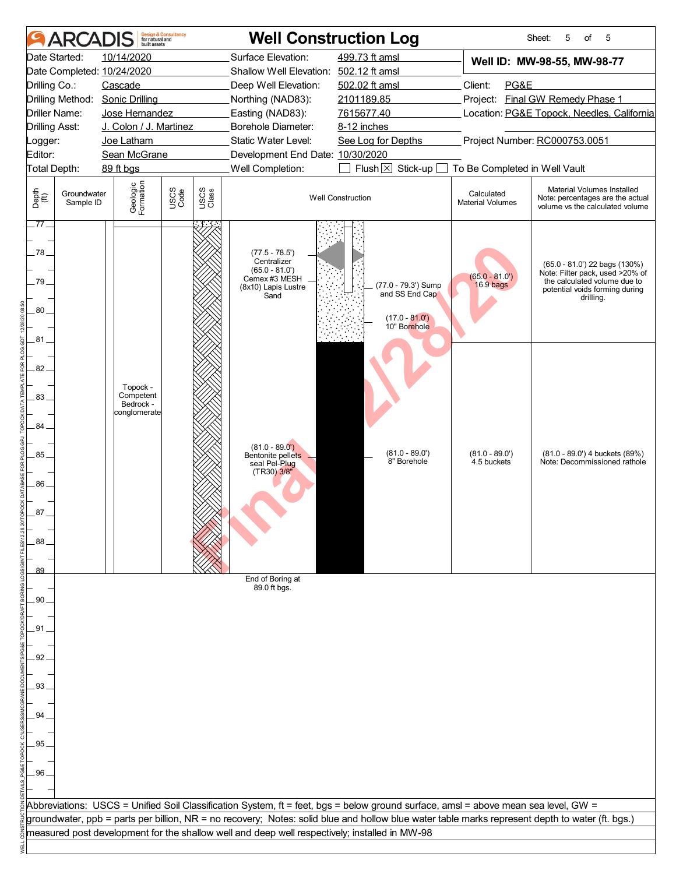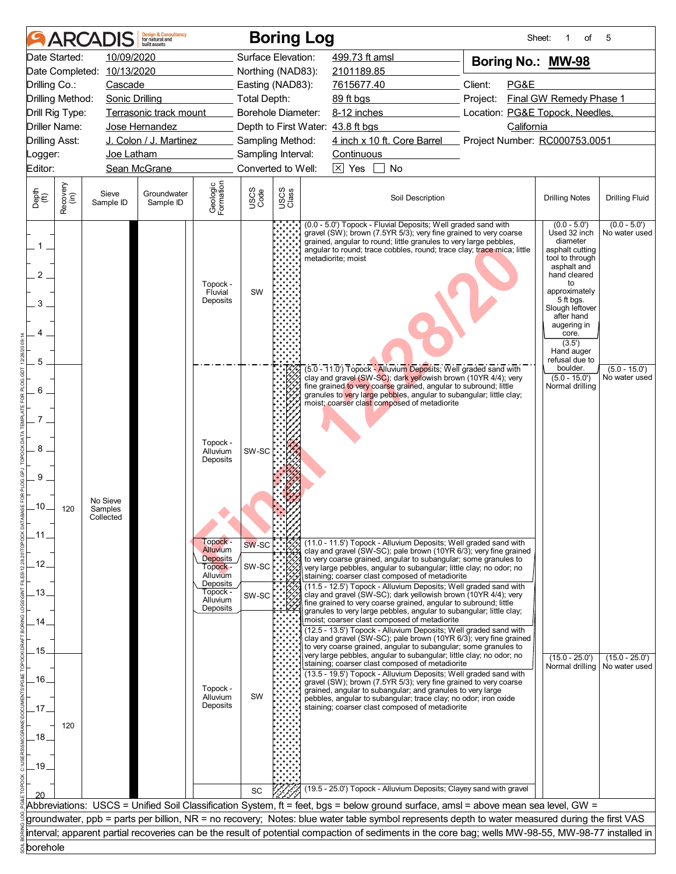|                                |                      | <b>ARCADIS</b>        | <b>Design &amp; Consultancy</b><br>for natural and<br>huilt assets |                                                                 |                     | <b>Boring Log</b>  |                                                                                                                                                                                                                                                                                                                                  |                                                                                                                                                                                                                                                                                                                              |                                                                                                                                                     | Sheet:<br>of                                   | 5                                 |  |
|--------------------------------|----------------------|-----------------------|--------------------------------------------------------------------|-----------------------------------------------------------------|---------------------|--------------------|----------------------------------------------------------------------------------------------------------------------------------------------------------------------------------------------------------------------------------------------------------------------------------------------------------------------------------|------------------------------------------------------------------------------------------------------------------------------------------------------------------------------------------------------------------------------------------------------------------------------------------------------------------------------|-----------------------------------------------------------------------------------------------------------------------------------------------------|------------------------------------------------|-----------------------------------|--|
|                                | Date Started:        | 10/09/2020            |                                                                    |                                                                 | Surface Elevation:  |                    | 499.73 ft amsl                                                                                                                                                                                                                                                                                                                   |                                                                                                                                                                                                                                                                                                                              |                                                                                                                                                     | Boring No.: MW-98                              |                                   |  |
|                                | Date Completed:      | 10/13/2020            |                                                                    |                                                                 | Northing (NAD83):   |                    | 2101189.85                                                                                                                                                                                                                                                                                                                       |                                                                                                                                                                                                                                                                                                                              |                                                                                                                                                     |                                                |                                   |  |
| Drilling Co.:                  |                      | Cascade               |                                                                    |                                                                 | Easting (NAD83):    |                    | 7615677.40                                                                                                                                                                                                                                                                                                                       |                                                                                                                                                                                                                                                                                                                              | Client:<br>PG&E<br>Project:                                                                                                                         |                                                |                                   |  |
| Drilling Method:               |                      | <b>Sonic Drilling</b> |                                                                    |                                                                 | <b>Total Depth:</b> |                    | 89 ft bgs                                                                                                                                                                                                                                                                                                                        |                                                                                                                                                                                                                                                                                                                              | Final GW Remedy Phase 1                                                                                                                             |                                                |                                   |  |
| Drill Rig Type:                |                      |                       | Terrasonic track mount                                             |                                                                 | Borehole Diameter:  |                    | 8-12 inches                                                                                                                                                                                                                                                                                                                      |                                                                                                                                                                                                                                                                                                                              | Location: PG&E Topock, Needles,                                                                                                                     |                                                |                                   |  |
|                                | <b>Driller Name:</b> |                       | Jose Hernandez                                                     |                                                                 |                     |                    | Depth to First Water: 43.8 ft bgs                                                                                                                                                                                                                                                                                                |                                                                                                                                                                                                                                                                                                                              |                                                                                                                                                     | California                                     |                                   |  |
| <b>Drilling Asst:</b>          |                      |                       | J. Colon / J. Martinez                                             |                                                                 | Sampling Method:    |                    |                                                                                                                                                                                                                                                                                                                                  | 4 inch x 10 ft. Core Barrel                                                                                                                                                                                                                                                                                                  |                                                                                                                                                     | Project Number: RC000753.0051                  |                                   |  |
| Logger:                        |                      | Joe Latham            |                                                                    |                                                                 | Sampling Interval:  |                    | <b>Continuous</b>                                                                                                                                                                                                                                                                                                                |                                                                                                                                                                                                                                                                                                                              |                                                                                                                                                     |                                                |                                   |  |
| Editor:                        | Sean McGrane         |                       |                                                                    |                                                                 |                     | Converted to Well: | $\overline{\times}$ Yes                                                                                                                                                                                                                                                                                                          | No                                                                                                                                                                                                                                                                                                                           |                                                                                                                                                     |                                                |                                   |  |
| Depth<br>(ft)                  | Recovery<br>(in)     | Sieve<br>Sample ID    | Groundwater<br>Sample ID                                           | Geologic<br>Formation                                           | USCS<br>Code        | USCS<br>Class      |                                                                                                                                                                                                                                                                                                                                  | Soil Description                                                                                                                                                                                                                                                                                                             | <b>Drilling Notes</b>                                                                                                                               | <b>Drilling Fluid</b>                          |                                   |  |
| $1$ .<br>2<br>3                |                      |                       |                                                                    | Topock -<br>Fluvial<br>Deposits                                 | SW                  |                    | $(0.0 - 5.0')$<br>Used 32 inch<br>diameter<br>angular to round; trace cobbles, round; trace clay; trace mica; little<br>asphalt cutting<br>tool to through<br>asphalt and<br>hand cleared<br>to<br>approximately<br>5 ft bgs.<br>Slough leftover<br>after hand<br>augering in<br>core.<br>(3.5')<br>Hand auger<br>refusal due to | $(0.0 - 5.0')$<br>No water used                                                                                                                                                                                                                                                                                              |                                                                                                                                                     |                                                |                                   |  |
| 5<br>6<br>8<br>9               |                      | No Sieve              |                                                                    | Topock -<br>Alluvium<br>Deposits                                | SW-SC               |                    |                                                                                                                                                                                                                                                                                                                                  | (5.0 - 11.0') Topock - Alluvium Deposits; Well graded sand with<br>clay and gravel (SW-SC); dark yellowish brown (10YR 4/4); very<br>fine grained to very coarse grained, angular to subround; little<br>granules to very large pebbles, angular to subangular; little clay;<br>moist; coarser clast composed of metadiorite |                                                                                                                                                     | boulder.<br>$(5.0 - 15.0')$<br>Normal drilling | $(5.0 - 15.0')$<br>No water used  |  |
| .10.<br>.11<br>12 <sub>1</sub> | 120                  | Samples<br>Collected  |                                                                    | Topock -<br>Alluvium<br><b>Deposits</b><br>Topock -<br>Alluvium | SW-SC<br>SW-SC      |                    |                                                                                                                                                                                                                                                                                                                                  | to very coarse grained, angular to subangular; some granules to<br>very large pebbles, angular to subangular; little clay; no odor; no<br>staining; coarser clast composed of metadiorite                                                                                                                                    | (11.0 - 11.5') Topock - Alluvium Deposits; Well graded sand with<br>clay and gravel (SW-SC); pale brown (10YR 6/3); very fine grained               |                                                |                                   |  |
| .13.                           |                      |                       |                                                                    | Deposits<br>Topock -<br>Alluvium<br>Deposits                    | SW-SC               |                    |                                                                                                                                                                                                                                                                                                                                  | clay and gravel (SW-SC); dark yellowish brown (10YR 4/4); very<br>fine grained to very coarse grained, angular to subround; little<br>granules to very large pebbles, angular to subangular; little clay;                                                                                                                    | (11.5 - 12.5') Topock - Alluvium Deposits; Well graded sand with                                                                                    |                                                |                                   |  |
| 14                             |                      |                       |                                                                    |                                                                 |                     |                    |                                                                                                                                                                                                                                                                                                                                  | moist; coarser clast composed of metadiorite<br>to very coarse grained, angular to subangular; some granules to                                                                                                                                                                                                              | (12.5 - 13.5') Topock - Alluvium Deposits; Well graded sand with<br>clay and gravel (SW-SC); pale brown (10YR 6/3); very fine grained               |                                                |                                   |  |
| .15<br>.16.                    |                      |                       |                                                                    |                                                                 |                     |                    |                                                                                                                                                                                                                                                                                                                                  | very large pebbles, angular to subangular; little clay; no odor; no<br>staining; coarser clast composed of metadiorite<br>gravel (SW); brown (7.5YR 5/3); very fine grained to very coarse                                                                                                                                   | (13.5 - 19.5') Topock - Alluvium Deposits; Well graded sand with                                                                                    | $(15.0 - 25.0')$<br>Normal drilling            | $(15.0 - 25.0')$<br>No water used |  |
|                                |                      |                       |                                                                    | Topock -<br>Alluvium                                            | <b>SW</b>           |                    |                                                                                                                                                                                                                                                                                                                                  | grained, angular to subangular; and granules to very large<br>pebbles, angular to subangular; trace clay; no odor; iron oxide                                                                                                                                                                                                |                                                                                                                                                     |                                                |                                   |  |
| .17.                           |                      |                       |                                                                    | Deposits                                                        |                     |                    |                                                                                                                                                                                                                                                                                                                                  | staining; coarser clast composed of metadiorite                                                                                                                                                                                                                                                                              |                                                                                                                                                     |                                                |                                   |  |
| .18.<br>.19.                   | 120                  |                       |                                                                    |                                                                 |                     |                    |                                                                                                                                                                                                                                                                                                                                  |                                                                                                                                                                                                                                                                                                                              |                                                                                                                                                     |                                                |                                   |  |
|                                |                      |                       |                                                                    |                                                                 | SC                  |                    |                                                                                                                                                                                                                                                                                                                                  |                                                                                                                                                                                                                                                                                                                              | (19.5 - 25.0') Topock - Alluvium Deposits; Clayey sand with gravel                                                                                  |                                                |                                   |  |
|                                |                      |                       |                                                                    |                                                                 |                     |                    |                                                                                                                                                                                                                                                                                                                                  |                                                                                                                                                                                                                                                                                                                              | Abbreviations: USCS = Unified Soil Classification System, ft = feet, bgs = below ground surface, amsl = above mean sea level, GW =                  |                                                |                                   |  |
|                                |                      |                       |                                                                    |                                                                 |                     |                    |                                                                                                                                                                                                                                                                                                                                  |                                                                                                                                                                                                                                                                                                                              | groundwater, ppb = parts per billion, NR = no recovery; Notes: blue water table symbol represents depth to water measured during the first VAS      |                                                |                                   |  |
|                                |                      |                       |                                                                    |                                                                 |                     |                    |                                                                                                                                                                                                                                                                                                                                  |                                                                                                                                                                                                                                                                                                                              | interval; apparent partial recoveries can be the result of potential compaction of sediments in the core bag; wells MW-98-55, MW-98-77 installed in |                                                |                                   |  |
| borehole                       |                      |                       |                                                                    |                                                                 |                     |                    |                                                                                                                                                                                                                                                                                                                                  |                                                                                                                                                                                                                                                                                                                              |                                                                                                                                                     |                                                |                                   |  |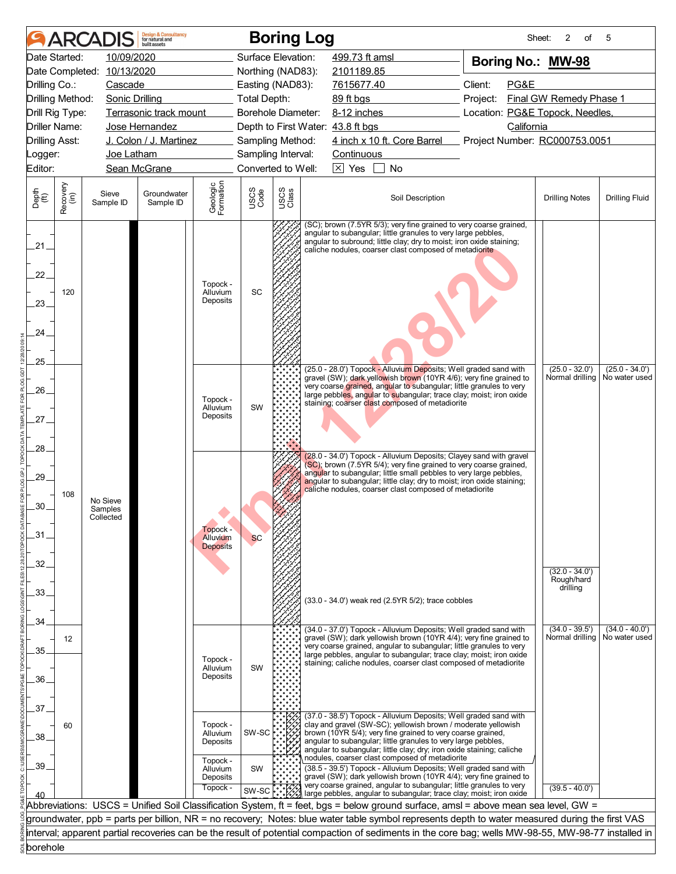|                             |                                                 | <b>ARCADIS</b>                   | <b>Design &amp; Consultancy</b><br>for natural and<br>huilt assets |                                              |                    |                                                                                                                                                                                                                                                                       | <b>Boring Log</b>                                                                                                                                                                                                                                                                                                        | Sheet:                          | 2<br>of                 | 5                     |  |  |
|-----------------------------|-------------------------------------------------|----------------------------------|--------------------------------------------------------------------|----------------------------------------------|--------------------|-----------------------------------------------------------------------------------------------------------------------------------------------------------------------------------------------------------------------------------------------------------------------|--------------------------------------------------------------------------------------------------------------------------------------------------------------------------------------------------------------------------------------------------------------------------------------------------------------------------|---------------------------------|-------------------------|-----------------------|--|--|
| Date Started:               |                                                 | 10/09/2020                       |                                                                    |                                              | Surface Elevation: |                                                                                                                                                                                                                                                                       | 499.73 ft amsl                                                                                                                                                                                                                                                                                                           | Boring No.: MW-98               |                         |                       |  |  |
|                             |                                                 | Date Completed: 10/13/2020       |                                                                    |                                              | Northing (NAD83):  |                                                                                                                                                                                                                                                                       | 2101189.85                                                                                                                                                                                                                                                                                                               |                                 |                         |                       |  |  |
| Drilling Co.:               |                                                 | Cascade                          |                                                                    |                                              | Easting (NAD83):   |                                                                                                                                                                                                                                                                       | 7615677.40                                                                                                                                                                                                                                                                                                               | Client:<br>PG&E                 |                         |                       |  |  |
| Drilling Method:            |                                                 | <b>Sonic Drilling</b>            |                                                                    |                                              | Total Depth:       |                                                                                                                                                                                                                                                                       | 89 ft bgs                                                                                                                                                                                                                                                                                                                | Project:                        | Final GW Remedy Phase 1 |                       |  |  |
| Drill Rig Type:             |                                                 |                                  | Terrasonic track mount                                             |                                              | Borehole Diameter: |                                                                                                                                                                                                                                                                       | 8-12 inches                                                                                                                                                                                                                                                                                                              | Location: PG&E Topock, Needles, |                         |                       |  |  |
| Driller Name:               |                                                 |                                  | Jose Hernandez                                                     |                                              |                    |                                                                                                                                                                                                                                                                       | Depth to First Water: 43.8 ft bgs                                                                                                                                                                                                                                                                                        | California                      |                         |                       |  |  |
|                             | J. Colon / J. Martinez<br><b>Drilling Asst:</b> |                                  |                                                                    |                                              |                    | Sampling Method:                                                                                                                                                                                                                                                      | 4 inch x 10 ft. Core Barrel Project Number: RC000753.0051                                                                                                                                                                                                                                                                |                                 |                         |                       |  |  |
| Logger:                     |                                                 | Joe Latham                       |                                                                    |                                              | Sampling Interval: |                                                                                                                                                                                                                                                                       | <b>Continuous</b>                                                                                                                                                                                                                                                                                                        |                                 |                         |                       |  |  |
| Editor:                     |                                                 |                                  | Sean McGrane                                                       |                                              | Converted to Well: |                                                                                                                                                                                                                                                                       | $\overline{\times}$ Yes<br>No                                                                                                                                                                                                                                                                                            |                                 |                         |                       |  |  |
| Depth<br>$\widetilde{f(t)}$ | Recovery<br>(in)                                | Sieve<br>Sample ID               | Groundwater<br>Sample ID                                           | Geologic<br>Formation                        | USCS<br>Code       | USCS<br>Class                                                                                                                                                                                                                                                         | Soil Description                                                                                                                                                                                                                                                                                                         |                                 | <b>Drilling Notes</b>   | <b>Drilling Fluid</b> |  |  |
| 21<br>22.<br>23.<br>24      | 120                                             |                                  |                                                                    | Topock -<br>Alluvium<br>Deposits             | SC                 | (SC); brown (7.5YR 5/3); very fine grained to very coarse grained,<br>angular to subangular; little granules to very large pebbles,<br>angular to subround; little clay; dry to moist; iron oxide staining;<br>caliche nodules, coarser clast composed of metadiorite |                                                                                                                                                                                                                                                                                                                          |                                 |                         |                       |  |  |
| .25.                        |                                                 |                                  |                                                                    |                                              |                    |                                                                                                                                                                                                                                                                       | (25.0 - 28.0') Topock - Alluvium Deposits; Well graded sand with                                                                                                                                                                                                                                                         |                                 | $(25.0 - 32.0')$        | $(25.0 - 34.0')$      |  |  |
|                             |                                                 |                                  |                                                                    |                                              |                    |                                                                                                                                                                                                                                                                       | gravel (SW); dark yellowish brown (10YR 4/6); very fine grained to<br>very coarse grained, angular to subangular; little granules to very                                                                                                                                                                                |                                 | Normal drilling         | No water used         |  |  |
| 26.                         |                                                 |                                  |                                                                    | Topock -                                     |                    |                                                                                                                                                                                                                                                                       | large pebbles, angular to subangular; trace clay; moist; iron oxide                                                                                                                                                                                                                                                      |                                 |                         |                       |  |  |
|                             |                                                 |                                  | Alluvium                                                           | <b>SW</b>                                    |                    | staining; coarser clast composed of metadiorite                                                                                                                                                                                                                       |                                                                                                                                                                                                                                                                                                                          |                                 |                         |                       |  |  |
| .27.                        |                                                 |                                  | Deposits                                                           |                                              |                    |                                                                                                                                                                                                                                                                       |                                                                                                                                                                                                                                                                                                                          |                                 |                         |                       |  |  |
|                             |                                                 |                                  |                                                                    |                                              |                    |                                                                                                                                                                                                                                                                       |                                                                                                                                                                                                                                                                                                                          |                                 |                         |                       |  |  |
| 28.                         |                                                 |                                  |                                                                    |                                              |                    |                                                                                                                                                                                                                                                                       | (28.0 - 34.0') Topock - Alluvium Deposits; Clayey sand with gravel                                                                                                                                                                                                                                                       |                                 |                         |                       |  |  |
| 29.<br>.30.                 | 108                                             | No Sieve<br>Samples<br>Collected |                                                                    |                                              |                    |                                                                                                                                                                                                                                                                       | (SC); brown (7.5YR 5/4); very fine grained to very coarse grained,<br>angular to subangular; little small pebbles to very large pebbles,<br>angular to subangular; little clay; dry to moist; iron oxide staining;<br>caliche nodules, coarser clast composed of metadiorite                                             |                                 |                         |                       |  |  |
| .31                         |                                                 |                                  |                                                                    | Topock -<br>Alluvium                         | <b>SC</b>          |                                                                                                                                                                                                                                                                       |                                                                                                                                                                                                                                                                                                                          |                                 |                         |                       |  |  |
|                             |                                                 |                                  |                                                                    | <b>Deposits</b>                              |                    |                                                                                                                                                                                                                                                                       |                                                                                                                                                                                                                                                                                                                          |                                 |                         |                       |  |  |
| 32                          |                                                 |                                  |                                                                    |                                              |                    |                                                                                                                                                                                                                                                                       |                                                                                                                                                                                                                                                                                                                          |                                 | $(32.0 - 34.0')$        |                       |  |  |
|                             |                                                 |                                  |                                                                    |                                              |                    |                                                                                                                                                                                                                                                                       |                                                                                                                                                                                                                                                                                                                          |                                 | Rough/hard              |                       |  |  |
| 33.                         |                                                 |                                  |                                                                    |                                              |                    |                                                                                                                                                                                                                                                                       | (33.0 - 34.0') weak red (2.5YR 5/2); trace cobbles                                                                                                                                                                                                                                                                       |                                 | drilling                |                       |  |  |
|                             |                                                 |                                  |                                                                    |                                              |                    |                                                                                                                                                                                                                                                                       |                                                                                                                                                                                                                                                                                                                          |                                 |                         |                       |  |  |
| 34                          |                                                 |                                  |                                                                    |                                              |                    |                                                                                                                                                                                                                                                                       | (34.0 - 37.0') Topock - Alluvium Deposits; Well graded sand with                                                                                                                                                                                                                                                         |                                 | $(34.0 - 39.5')$        | $(34.0 - 40.0')$      |  |  |
|                             | 12                                              |                                  |                                                                    |                                              |                    |                                                                                                                                                                                                                                                                       | gravel (SW); dark yellowish brown (10YR 4/4); very fine grained to                                                                                                                                                                                                                                                       |                                 | Normal drilling         | No water used         |  |  |
| 35                          |                                                 |                                  |                                                                    |                                              |                    |                                                                                                                                                                                                                                                                       | very coarse grained, angular to subangular; little granules to very<br>large pebbles, angular to subangular; trace clay; moist; iron oxide                                                                                                                                                                               |                                 |                         |                       |  |  |
|                             |                                                 |                                  |                                                                    | Topock -<br>Alluvium                         | <b>SW</b>          |                                                                                                                                                                                                                                                                       | staining; caliche nodules, coarser clast composed of metadiorite                                                                                                                                                                                                                                                         |                                 |                         |                       |  |  |
| .36.                        |                                                 |                                  |                                                                    | Deposits                                     |                    |                                                                                                                                                                                                                                                                       |                                                                                                                                                                                                                                                                                                                          |                                 |                         |                       |  |  |
|                             |                                                 |                                  |                                                                    |                                              |                    |                                                                                                                                                                                                                                                                       |                                                                                                                                                                                                                                                                                                                          |                                 |                         |                       |  |  |
| 37.                         |                                                 |                                  |                                                                    |                                              |                    |                                                                                                                                                                                                                                                                       | (37.0 - 38.5') Topock - Alluvium Deposits; Well graded sand with                                                                                                                                                                                                                                                         |                                 |                         |                       |  |  |
| 38.                         | 60                                              |                                  |                                                                    | Topock -<br>Alluvium<br>Deposits             | SW-SC              |                                                                                                                                                                                                                                                                       | clay and gravel (SW-SC); yellowish brown / moderate yellowish<br>brown (10YR 5/4); very fine grained to very coarse grained,<br>angular to subangular; little granules to very large pebbles,<br>angular to subangular; little clay; dry; iron oxide staining; caliche<br>nodules, coarser clast composed of metadiorite |                                 |                         |                       |  |  |
| 39                          |                                                 |                                  |                                                                    | Topock -<br>Alluvium<br>Deposits<br>Topock - | SW                 |                                                                                                                                                                                                                                                                       | (38.5 - 39.5') Topock - Alluvium Deposits; Well graded sand with<br>gravel (SW); dark yellowish brown (10YR 4/4); very fine grained to<br>very coarse grained, angular to subangular; little granules to very                                                                                                            |                                 | $(39.5 - 40.0')$        |                       |  |  |
|                             |                                                 |                                  |                                                                    |                                              | SW-SC              |                                                                                                                                                                                                                                                                       | large pebbles, angular to subangular; trace clay; moist; iron oxide                                                                                                                                                                                                                                                      |                                 |                         |                       |  |  |
|                             |                                                 |                                  |                                                                    |                                              |                    |                                                                                                                                                                                                                                                                       | Abbreviations: USCS = Unified Soil Classification System, ft = feet, bgs = below ground surface, amsl = above mean sea level, GW =                                                                                                                                                                                       |                                 |                         |                       |  |  |
|                             |                                                 |                                  |                                                                    |                                              |                    |                                                                                                                                                                                                                                                                       | groundwater, ppb = parts per billion, NR = no recovery; Notes: blue water table symbol represents depth to water measured during the first VAS                                                                                                                                                                           |                                 |                         |                       |  |  |
|                             |                                                 |                                  |                                                                    |                                              |                    |                                                                                                                                                                                                                                                                       | interval; apparent partial recoveries can be the result of potential compaction of sediments in the core bag; wells MW-98-55, MW-98-77 installed in                                                                                                                                                                      |                                 |                         |                       |  |  |
| borehole                    |                                                 |                                  |                                                                    |                                              |                    |                                                                                                                                                                                                                                                                       |                                                                                                                                                                                                                                                                                                                          |                                 |                         |                       |  |  |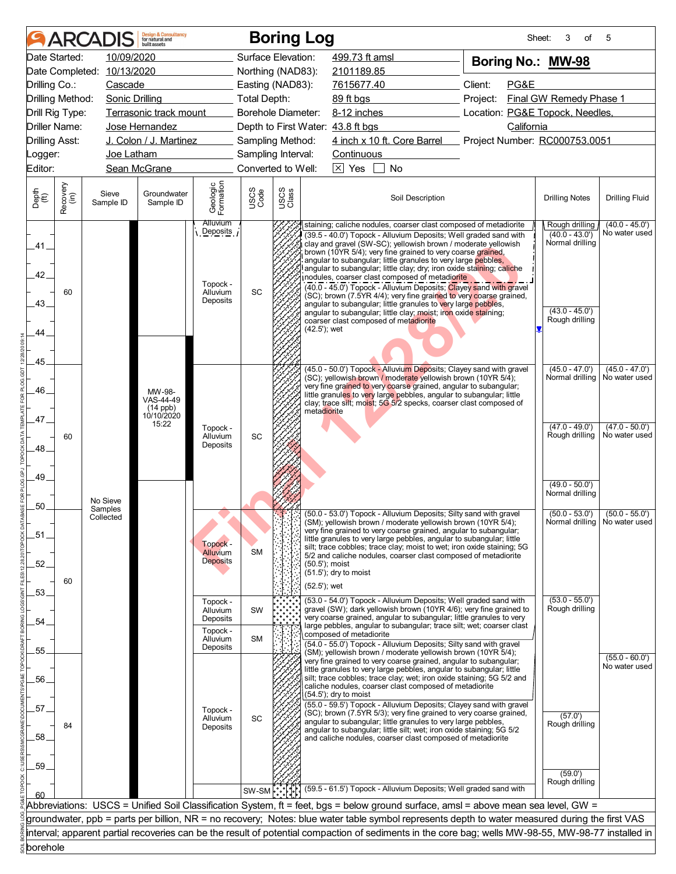|                             |                  | <b>ARCADIS</b>                   | <b>Design &amp; Consultancy</b><br>for natural and<br>huilt assets |                                                                 |                           | <b>Boring Log</b>                          |                                                                                                                                                                                                                                                                                                                                                                                                                                                                                                                                                                                                                                                                                                                                                                                                                                                                                                         |                                                                                                                                                                                                                                                                                                                                                     |  |  | Sheet:                            | 3<br>of                                                 | 5                                                   |
|-----------------------------|------------------|----------------------------------|--------------------------------------------------------------------|-----------------------------------------------------------------|---------------------------|--------------------------------------------|---------------------------------------------------------------------------------------------------------------------------------------------------------------------------------------------------------------------------------------------------------------------------------------------------------------------------------------------------------------------------------------------------------------------------------------------------------------------------------------------------------------------------------------------------------------------------------------------------------------------------------------------------------------------------------------------------------------------------------------------------------------------------------------------------------------------------------------------------------------------------------------------------------|-----------------------------------------------------------------------------------------------------------------------------------------------------------------------------------------------------------------------------------------------------------------------------------------------------------------------------------------------------|--|--|-----------------------------------|---------------------------------------------------------|-----------------------------------------------------|
| Date Started:               |                  | 10/09/2020                       |                                                                    |                                                                 | Surface Elevation:        |                                            |                                                                                                                                                                                                                                                                                                                                                                                                                                                                                                                                                                                                                                                                                                                                                                                                                                                                                                         | 499.73 ft amsl                                                                                                                                                                                                                                                                                                                                      |  |  |                                   | Boring No.: MW-98                                       |                                                     |
| Date Completed:             |                  | 10/13/2020                       |                                                                    |                                                                 | Northing (NAD83):         |                                            |                                                                                                                                                                                                                                                                                                                                                                                                                                                                                                                                                                                                                                                                                                                                                                                                                                                                                                         | 2101189.85                                                                                                                                                                                                                                                                                                                                          |  |  |                                   |                                                         |                                                     |
| Drilling Co.:               |                  | Cascade                          |                                                                    |                                                                 | Easting (NAD83):          |                                            |                                                                                                                                                                                                                                                                                                                                                                                                                                                                                                                                                                                                                                                                                                                                                                                                                                                                                                         | Client:<br>PG&E<br>7615677.40                                                                                                                                                                                                                                                                                                                       |  |  |                                   |                                                         |                                                     |
| Drilling Method:            |                  | <b>Sonic Drilling</b>            |                                                                    |                                                                 | Total Depth:              |                                            |                                                                                                                                                                                                                                                                                                                                                                                                                                                                                                                                                                                                                                                                                                                                                                                                                                                                                                         | Final GW Remedy Phase 1<br>89 ft bgs<br>Project:                                                                                                                                                                                                                                                                                                    |  |  |                                   |                                                         |                                                     |
| Drill Rig Type:             |                  |                                  | Terrasonic track mount                                             |                                                                 | <b>Borehole Diameter:</b> |                                            |                                                                                                                                                                                                                                                                                                                                                                                                                                                                                                                                                                                                                                                                                                                                                                                                                                                                                                         | Location: PG&E Topock, Needles,<br>8-12 inches                                                                                                                                                                                                                                                                                                      |  |  |                                   |                                                         |                                                     |
| <b>Driller Name:</b>        |                  |                                  | Jose Hernandez                                                     |                                                                 |                           |                                            |                                                                                                                                                                                                                                                                                                                                                                                                                                                                                                                                                                                                                                                                                                                                                                                                                                                                                                         | Depth to First Water: 43.8 ft bgs                                                                                                                                                                                                                                                                                                                   |  |  | California                        |                                                         |                                                     |
| <b>Drilling Asst:</b>       |                  |                                  | J. Colon / J. Martinez                                             |                                                                 | Sampling Method:          |                                            |                                                                                                                                                                                                                                                                                                                                                                                                                                                                                                                                                                                                                                                                                                                                                                                                                                                                                                         | 4 inch x 10 ft. Core Barrel                                                                                                                                                                                                                                                                                                                         |  |  |                                   | Project Number: RC000753.0051                           |                                                     |
| Logger:                     |                  | Joe Latham                       |                                                                    |                                                                 | Sampling Interval:        |                                            |                                                                                                                                                                                                                                                                                                                                                                                                                                                                                                                                                                                                                                                                                                                                                                                                                                                                                                         | Continuous                                                                                                                                                                                                                                                                                                                                          |  |  |                                   |                                                         |                                                     |
| Editor:                     |                  |                                  | Sean McGrane                                                       |                                                                 | Converted to Well:        |                                            |                                                                                                                                                                                                                                                                                                                                                                                                                                                                                                                                                                                                                                                                                                                                                                                                                                                                                                         | $\overline{\times}$ Yes<br>No                                                                                                                                                                                                                                                                                                                       |  |  |                                   |                                                         |                                                     |
| Depth<br>$\widetilde{f(t)}$ | Recovery<br>(in) | Sieve<br>Sample ID               | Groundwater<br>Sample ID                                           | Geologic<br>Formation                                           | USCS<br>Code              | USCS<br>Class                              |                                                                                                                                                                                                                                                                                                                                                                                                                                                                                                                                                                                                                                                                                                                                                                                                                                                                                                         | Soil Description                                                                                                                                                                                                                                                                                                                                    |  |  |                                   | <b>Drilling Notes</b>                                   | <b>Drilling Fluid</b>                               |
| .41.<br>42.<br>43.<br>44    | 60               |                                  |                                                                    | <b>Alluvium</b><br>Deposits<br>Topock -<br>Alluvium<br>Deposits | SC                        |                                            | staining; caliche nodules, coarser clast composed of metadiorite<br>Rough drilling<br>$(40.0 - 43.0)$<br>(39.5 - 40.0') Topock - Alluvium Deposits; Well graded sand with<br>Normal drilling<br>clay and gravel (SW-SC); yellowish brown / moderate yellowish<br>brown (10YR 5/4); very fine grained to very coarse grained,<br>angular to subangular; little granules to very large pebbles,<br>angular to subangular; little clay; dry; iron oxide staining; caliche<br>nodules, coarser clast composed of metadiorite<br>(40.0 - 45.0') Topock - Alluvium Deposits; Clayey sand with gravel<br>(SC); brown (7.5YR 4/4); very fine grained to very coarse grained,<br>angular to subangular; little granules to very large pebbles,<br>$(43.0 - 45.0')$<br>angular to subangular; little clay; moist; iron oxide staining;<br>Rough drilling<br>coarser clast composed of metadiorite<br>(42.5'); wet |                                                                                                                                                                                                                                                                                                                                                     |  |  |                                   |                                                         | $(40.0 - 45.0')$<br>No water used                   |
| .45<br>46.                  |                  |                                  | MW-98-<br>VAS-44-49<br>$(14$ ppb)<br>10/10/2020                    |                                                                 |                           |                                            | metadiorite                                                                                                                                                                                                                                                                                                                                                                                                                                                                                                                                                                                                                                                                                                                                                                                                                                                                                             | (45.0 - 50.0') Topock - Alluvium Deposits; Clayey sand with gravel<br>(SC); yellowish brown / moderate yellowish brown (10YR 5/4);<br>very fine grained to very coarse grained, angular to subangular;<br>little granules to very large pebbles, angular to subangular; little<br>clay; trace silt; moist; 5G 5/2 specks, coarser clast composed of |  |  |                                   | $(45.0 - 47.0')$<br>Normal drilling                     | $(45.0 - 47.0')$<br>No water used                   |
| .47.<br>.48.<br>.49.        | 60               |                                  | 15:22                                                              | Topock -<br>Alluvium<br>Deposits                                | SC                        |                                            |                                                                                                                                                                                                                                                                                                                                                                                                                                                                                                                                                                                                                                                                                                                                                                                                                                                                                                         |                                                                                                                                                                                                                                                                                                                                                     |  |  | $(47.0 - 50.0')$<br>No water used |                                                         |                                                     |
| 50                          |                  | No Sieve<br>Samples<br>Collected |                                                                    |                                                                 |                           | NM.                                        |                                                                                                                                                                                                                                                                                                                                                                                                                                                                                                                                                                                                                                                                                                                                                                                                                                                                                                         | (50.0 - 53.0') Topock - Alluvium Deposits; Silty sand with gravel<br>(SM); yellowish brown / moderate yellowish brown (10YR 5/4);                                                                                                                                                                                                                   |  |  |                                   | $(49.0 - 50.0')$<br>Normal drilling<br>$(50.0 - 53.0')$ | $(50.0 - 55.0')$<br>Normal drilling   No water used |
| .51<br>.52.                 | 60               |                                  |                                                                    | Topock -<br>Alluvium<br><b>Deposits</b>                         | <b>SM</b>                 |                                            | (50.5'); moist<br>(52.5'); wet                                                                                                                                                                                                                                                                                                                                                                                                                                                                                                                                                                                                                                                                                                                                                                                                                                                                          | very fine grained to very coarse grained, angular to subangular;<br>little granules to very large pebbles, angular to subangular; little<br>silt; trace cobbles; trace clay; moist to wet; iron oxide staining; 5G<br>5/2 and caliche nodules, coarser clast composed of metadiorite<br>(51.5'); dry to moist                                       |  |  |                                   |                                                         |                                                     |
| 53.<br>54                   |                  |                                  |                                                                    | Topock -<br>Alluvium<br>Deposits                                | <b>SW</b>                 |                                            |                                                                                                                                                                                                                                                                                                                                                                                                                                                                                                                                                                                                                                                                                                                                                                                                                                                                                                         | (53.0 - 54.0') Topock - Alluvium Deposits; Well graded sand with<br>gravel (SW); dark yellowish brown (10YR 4/6); very fine grained to<br>very coarse grained, angular to subangular; little granules to very<br>large pebbles, angular to subangular; trace silt; wet; coarser clast                                                               |  |  |                                   | $(53.0 - 55.0')$<br>Rough drilling                      |                                                     |
|                             |                  |                                  |                                                                    | Topock -<br>Alluvium                                            | <b>SM</b>                 |                                            |                                                                                                                                                                                                                                                                                                                                                                                                                                                                                                                                                                                                                                                                                                                                                                                                                                                                                                         | composed of metadiorite                                                                                                                                                                                                                                                                                                                             |  |  |                                   |                                                         |                                                     |
| 55.                         |                  |                                  |                                                                    | Deposits                                                        |                           |                                            |                                                                                                                                                                                                                                                                                                                                                                                                                                                                                                                                                                                                                                                                                                                                                                                                                                                                                                         | (54.0 - 55.0') Topock - Alluvium Deposits; Silty sand with gravel<br>(SM); yellowish brown / moderate yellowish brown (10YR 5/4);                                                                                                                                                                                                                   |  |  |                                   |                                                         |                                                     |
|                             |                  |                                  |                                                                    |                                                                 |                           |                                            |                                                                                                                                                                                                                                                                                                                                                                                                                                                                                                                                                                                                                                                                                                                                                                                                                                                                                                         | very fine grained to very coarse grained, angular to subangular;<br>little granules to very large pebbles, angular to subangular; little                                                                                                                                                                                                            |  |  |                                   |                                                         | $(55.0 - 60.0')$<br>No water used                   |
| .56.                        |                  |                                  |                                                                    |                                                                 |                           |                                            |                                                                                                                                                                                                                                                                                                                                                                                                                                                                                                                                                                                                                                                                                                                                                                                                                                                                                                         | silt; trace cobbles; trace clay; wet; iron oxide staining; 5G 5/2 and<br>caliche nodules, coarser clast composed of metadiorite                                                                                                                                                                                                                     |  |  |                                   |                                                         |                                                     |
|                             |                  |                                  |                                                                    |                                                                 |                           |                                            |                                                                                                                                                                                                                                                                                                                                                                                                                                                                                                                                                                                                                                                                                                                                                                                                                                                                                                         | (54.5'); dry to moist<br>(55.0 - 59.5') Topock - Alluvium Deposits; Clayey sand with gravel                                                                                                                                                                                                                                                         |  |  |                                   |                                                         |                                                     |
| .57.<br>.58<br>.59          | 84               |                                  |                                                                    | Topock -<br>Alluvium<br>Deposits                                | SC                        |                                            |                                                                                                                                                                                                                                                                                                                                                                                                                                                                                                                                                                                                                                                                                                                                                                                                                                                                                                         | (SC); brown (7.5YR 5/3); very fine grained to very coarse grained,<br>angular to subangular; little granules to very large pebbles,<br>angular to subangular; little silt; wet; iron oxide staining; 5G 5/2<br>and caliche nodules, coarser clast composed of metadiorite                                                                           |  |  |                                   | (57.0')<br>Rough drilling                               |                                                     |
|                             |                  |                                  |                                                                    |                                                                 |                           |                                            |                                                                                                                                                                                                                                                                                                                                                                                                                                                                                                                                                                                                                                                                                                                                                                                                                                                                                                         |                                                                                                                                                                                                                                                                                                                                                     |  |  |                                   | (59.0')<br>Rough drilling                               |                                                     |
|                             |                  |                                  |                                                                    |                                                                 |                           | $SW-SM$ $\sim$ $\sim$ $\sim$ $\sim$ $\sim$ |                                                                                                                                                                                                                                                                                                                                                                                                                                                                                                                                                                                                                                                                                                                                                                                                                                                                                                         | (59.5 - 61.5') Topock - Alluvium Deposits; Well graded sand with                                                                                                                                                                                                                                                                                    |  |  |                                   |                                                         |                                                     |
|                             |                  |                                  |                                                                    |                                                                 |                           |                                            |                                                                                                                                                                                                                                                                                                                                                                                                                                                                                                                                                                                                                                                                                                                                                                                                                                                                                                         | Abbreviations: USCS = Unified Soil Classification System, ft = feet, bgs = below ground surface, amsl = above mean sea level, GW =                                                                                                                                                                                                                  |  |  |                                   |                                                         |                                                     |
|                             |                  |                                  |                                                                    |                                                                 |                           |                                            |                                                                                                                                                                                                                                                                                                                                                                                                                                                                                                                                                                                                                                                                                                                                                                                                                                                                                                         | groundwater, ppb = parts per billion, NR = no recovery; Notes: blue water table symbol represents depth to water measured during the first VAS                                                                                                                                                                                                      |  |  |                                   |                                                         |                                                     |
|                             |                  |                                  |                                                                    |                                                                 |                           |                                            |                                                                                                                                                                                                                                                                                                                                                                                                                                                                                                                                                                                                                                                                                                                                                                                                                                                                                                         | interval; apparent partial recoveries can be the result of potential compaction of sediments in the core bag; wells MW-98-55, MW-98-77 installed in                                                                                                                                                                                                 |  |  |                                   |                                                         |                                                     |
| borehole                    |                  |                                  |                                                                    |                                                                 |                           |                                            |                                                                                                                                                                                                                                                                                                                                                                                                                                                                                                                                                                                                                                                                                                                                                                                                                                                                                                         |                                                                                                                                                                                                                                                                                                                                                     |  |  |                                   |                                                         |                                                     |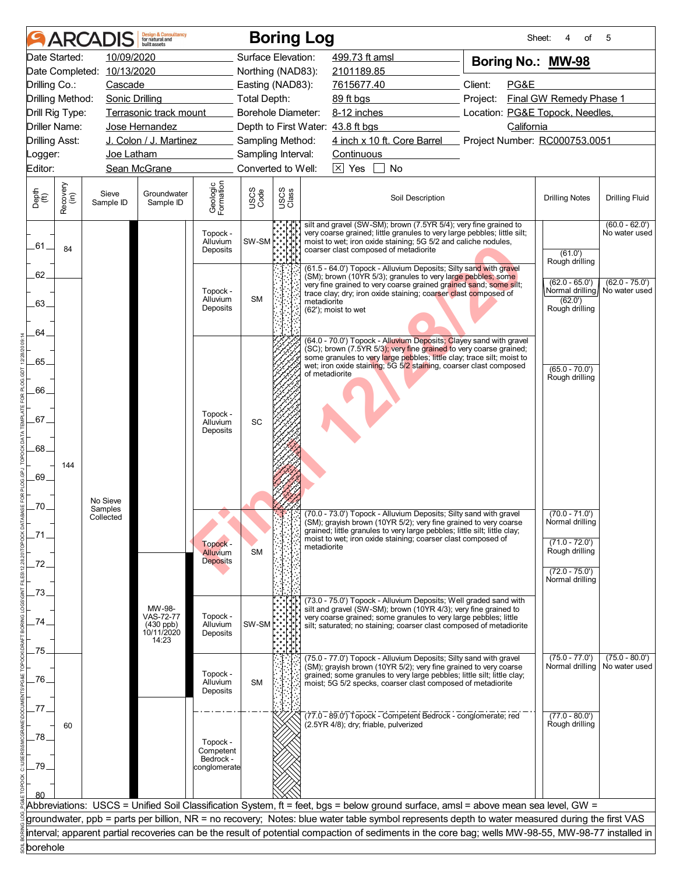|                             |                  | <b>ARCADIS</b>                   | <b>Design &amp; Consultancy</b><br>for natural and<br>huilt assets |                                    |                    |               | <b>Boring Log</b> |                                                |                                                                                                                                                                                                                                                                                 |  |         | Sheet:     | 4<br>of                             | 5                                 |  |
|-----------------------------|------------------|----------------------------------|--------------------------------------------------------------------|------------------------------------|--------------------|---------------|-------------------|------------------------------------------------|---------------------------------------------------------------------------------------------------------------------------------------------------------------------------------------------------------------------------------------------------------------------------------|--|---------|------------|-------------------------------------|-----------------------------------|--|
| Date Started:               |                  | 10/09/2020                       |                                                                    |                                    | Surface Elevation: |               |                   | 499.73 ft amsl                                 |                                                                                                                                                                                                                                                                                 |  |         |            | Boring No.: MW-98                   |                                   |  |
|                             |                  | Date Completed: 10/13/2020       |                                                                    |                                    | Northing (NAD83):  |               |                   | 2101189.85                                     |                                                                                                                                                                                                                                                                                 |  |         |            |                                     |                                   |  |
| Drilling Co.:               |                  | Cascade                          |                                                                    |                                    | Easting (NAD83):   |               |                   | 7615677.40                                     |                                                                                                                                                                                                                                                                                 |  | Client: | PG&E       |                                     |                                   |  |
| Drilling Method:            |                  | Sonic Drilling                   |                                                                    |                                    | Total Depth:       |               |                   | 89 ft bgs<br>Project:                          |                                                                                                                                                                                                                                                                                 |  |         |            | Final GW Remedy Phase 1             |                                   |  |
| Drill Rig Type:             |                  |                                  | Terrasonic track mount                                             |                                    | Borehole Diameter: |               |                   | Location: PG&E Topock, Needles,<br>8-12 inches |                                                                                                                                                                                                                                                                                 |  |         |            |                                     |                                   |  |
| Driller Name:               |                  |                                  | Jose Hernandez                                                     |                                    |                    |               |                   | Depth to First Water: 43.8 ft bgs              |                                                                                                                                                                                                                                                                                 |  |         | California |                                     |                                   |  |
| <b>Drilling Asst:</b>       |                  |                                  | J. Colon / J. Martinez                                             |                                    | Sampling Method:   |               |                   |                                                | 4 inch x 10 ft. Core Barrel Project Number: RC000753.0051                                                                                                                                                                                                                       |  |         |            |                                     |                                   |  |
| Logger:                     |                  | Joe Latham                       |                                                                    |                                    | Sampling Interval: |               |                   | <b>Continuous</b>                              |                                                                                                                                                                                                                                                                                 |  |         |            |                                     |                                   |  |
| Editor:                     |                  |                                  | Sean McGrane                                                       |                                    | Converted to Well: |               |                   | $\overline{\times}$ Yes                        | No                                                                                                                                                                                                                                                                              |  |         |            |                                     |                                   |  |
| Depth<br>$\widetilde{f(t)}$ | Recovery<br>(in) | Sieve<br>Sample ID               | Groundwater<br>Sample ID                                           | Geologic<br>Formation              | USCS<br>Code       | USCS<br>Class |                   |                                                | Soil Description                                                                                                                                                                                                                                                                |  |         |            | <b>Drilling Notes</b>               | <b>Drilling Fluid</b>             |  |
| .61.                        | 84               |                                  |                                                                    | Topock -<br>Alluvium<br>Deposits   | SW-SM              |               |                   |                                                | silt and gravel (SW-SM); brown (7.5YR 5/4); very fine grained to<br>very coarse grained; little granules to very large pebbles; little silt;<br>moist to wet; iron oxide staining; 5G 5/2 and caliche nodules,<br>coarser clast composed of metadiorite                         |  |         |            | (61.0')                             | $(60.0 - 62.0')$<br>No water used |  |
| 62                          |                  |                                  |                                                                    |                                    |                    |               |                   |                                                | (61.5 - 64.0') Topock - Alluvium Deposits; Silty sand with gravel<br>(SM); brown (10YR 5/3); granules to very large pebbles; some                                                                                                                                               |  |         |            | Rough drilling<br>$(62.0 - 65.0')$  | $(62.0 - 75.0')$                  |  |
| 63.                         |                  |                                  |                                                                    | Topock -<br>Alluvium               | <b>SM</b>          |               | metadiorite       |                                                | very fine grained to very coarse grained grained sand; some silt;<br>trace clay; dry; iron oxide staining; coarser clast composed of                                                                                                                                            |  |         |            | (62.0')                             | Normal drilling∥ No water used    |  |
| 64                          |                  |                                  |                                                                    | Deposits                           |                    |               |                   | (62'); moist to wet                            |                                                                                                                                                                                                                                                                                 |  |         |            | Rough drilling                      |                                   |  |
| .65.                        |                  |                                  |                                                                    |                                    |                    |               |                   |                                                | (64.0 - 70.0') Topock - Alluvium Deposits; Clayey sand with gravel<br>(SC); brown (7.5YR 5/3); very fine grained to very coarse grained;<br>some granules to very large pebbles; little clay; trace silt; moist to                                                              |  |         |            |                                     |                                   |  |
|                             |                  |                                  |                                                                    |                                    |                    |               | of metadiorite    |                                                | wet; iron oxide staining; 5G 5/2 staining, coarser clast composed                                                                                                                                                                                                               |  |         |            | $(65.0 - 70.0')$<br>Rough drilling  |                                   |  |
| 66.                         |                  |                                  |                                                                    | Topock -                           |                    |               |                   |                                                |                                                                                                                                                                                                                                                                                 |  |         |            |                                     |                                   |  |
| .67.                        |                  |                                  |                                                                    | Alluvium<br>Deposits               | SC                 |               |                   |                                                |                                                                                                                                                                                                                                                                                 |  |         |            |                                     |                                   |  |
| .68.                        | 144              |                                  |                                                                    |                                    |                    |               |                   |                                                |                                                                                                                                                                                                                                                                                 |  |         |            |                                     |                                   |  |
| 69.                         |                  |                                  |                                                                    |                                    |                    |               |                   |                                                |                                                                                                                                                                                                                                                                                 |  |         |            |                                     |                                   |  |
| .70.                        |                  | No Sieve<br>Samples<br>Collected |                                                                    |                                    |                    | N PID         |                   |                                                | (70.0 - 73.0') Topock - Alluvium Deposits; Silty sand with gravel                                                                                                                                                                                                               |  |         |            | $(70.0 - 71.0')$<br>Normal drilling |                                   |  |
| .71                         |                  |                                  |                                                                    | Topock -                           |                    |               | metadiorite       |                                                | (SM); grayish brown (10YR 5/2); very fine grained to very coarse<br>grained; little granules to very large pebbles; little silt; little clay;<br>moist to wet; iron oxide staining; coarser clast composed of                                                                   |  |         |            | $(71.0 - 72.0')$                    |                                   |  |
| .72                         |                  |                                  |                                                                    | Alluvium<br><b>Deposits</b>        | <b>SM</b>          |               |                   |                                                |                                                                                                                                                                                                                                                                                 |  |         |            | Rough drilling<br>$(72.0 - 75.0')$  |                                   |  |
| 73                          |                  |                                  |                                                                    |                                    |                    |               |                   |                                                | (73.0 - 75.0') Topock - Alluvium Deposits; Well graded sand with                                                                                                                                                                                                                |  |         |            | Normal drilling                     |                                   |  |
| 74                          |                  |                                  | MW-98-<br>VAS-72-77<br>$(430$ ppb)                                 | Topock -<br>Alluvium               | SW-SM <sup>*</sup> |               |                   |                                                | silt and gravel (SW-SM); brown (10YR 4/3); very fine grained to<br>very coarse grained; some granules to very large pebbles; little<br>silt; saturated; no staining; coarser clast composed of metadiorite                                                                      |  |         |            |                                     |                                   |  |
| 75.                         |                  |                                  | 10/11/2020<br>14:23                                                | Deposits                           |                    |               |                   |                                                |                                                                                                                                                                                                                                                                                 |  |         |            |                                     |                                   |  |
| .76.                        |                  |                                  |                                                                    | Topock -<br>Alluvium               | <b>SM</b>          |               |                   |                                                | (75.0 - 77.0') Topock - Alluvium Deposits; Silty sand with gravel<br>(SM); grayish brown (10YR 5/2); very fine grained to very coarse<br>grained; some granules to very large pebbles; little silt; little clay;<br>moist; 5G 5/2 specks, coarser clast composed of metadiorite |  |         |            | $(75.0 - 77.0')$<br>Normal drilling | $(75.0 - 80.0')$<br>No water used |  |
| 77                          |                  |                                  |                                                                    | Deposits                           |                    |               |                   |                                                |                                                                                                                                                                                                                                                                                 |  |         |            |                                     |                                   |  |
| 78                          | 60               |                                  |                                                                    |                                    |                    |               |                   |                                                | (77.0 - 89.0') Topock - Competent Bedrock - conglomerate; red<br>(2.5YR 4/8); dry; friable, pulverized                                                                                                                                                                          |  |         |            | $(77.0 - 80.0')$<br>Rough drilling  |                                   |  |
|                             |                  |                                  |                                                                    | Topock -<br>Competent<br>Bedrock - |                    |               |                   |                                                |                                                                                                                                                                                                                                                                                 |  |         |            |                                     |                                   |  |
| .79                         |                  |                                  |                                                                    | conglomerate                       |                    |               |                   |                                                |                                                                                                                                                                                                                                                                                 |  |         |            |                                     |                                   |  |
|                             |                  |                                  |                                                                    |                                    |                    |               |                   |                                                | Abbreviations: USCS = Unified Soil Classification System, ft = feet, bgs = below ground surface, amsl = above mean sea level, GW =                                                                                                                                              |  |         |            |                                     |                                   |  |
|                             |                  |                                  |                                                                    |                                    |                    |               |                   |                                                | groundwater, ppb = parts per billion, NR = no recovery; Notes: blue water table symbol represents depth to water measured during the first VAS                                                                                                                                  |  |         |            |                                     |                                   |  |
|                             |                  |                                  |                                                                    |                                    |                    |               |                   |                                                | interval; apparent partial recoveries can be the result of potential compaction of sediments in the core bag; wells MW-98-55, MW-98-77 installed in                                                                                                                             |  |         |            |                                     |                                   |  |
| borehole                    |                  |                                  |                                                                    |                                    |                    |               |                   |                                                |                                                                                                                                                                                                                                                                                 |  |         |            |                                     |                                   |  |
|                             |                  |                                  |                                                                    |                                    |                    |               |                   |                                                |                                                                                                                                                                                                                                                                                 |  |         |            |                                     |                                   |  |